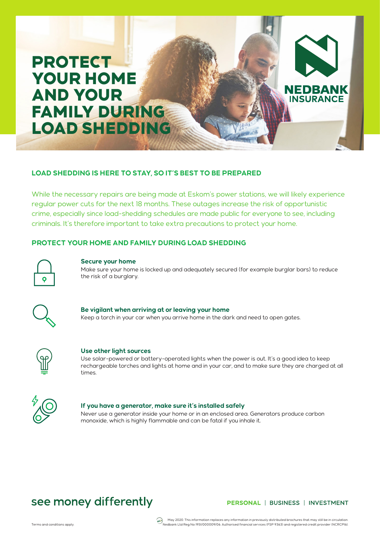# PROTECT YOUR HOME AND YOUR FAMILY DURING LOAD SHEDDING

# **LOAD SHEDDING IS HERE TO STAY, SO IT'S BEST TO BE PREPARED**

While the necessary repairs are being made at Eskom's power stations, we will likely experience regular power cuts for the next 18 months. These outages increase the risk of opportunistic crime, especially since load-shedding schedules are made public for everyone to see, including criminals. It's therefore important to take extra precautions to protect your home.

# **PROTECT YOUR HOME AND FAMILY DURING LOAD SHEDDING**



#### **Secure your home**

Make sure your home is locked up and adequately secured (for example burglar bars) to reduce the risk of a burglary.



### **Be vigilant when arriving at or leaving your home**

Keep a torch in your car when you arrive home in the dark and need to open gates.



#### **Use other light sources**

Use solar-powered or battery-operated lights when the power is out. It's a good idea to keep rechargeable torches and lights at home and in your car, and to make sure they are charged at all times.



#### **If you have a generator, make sure it's installed safely**

Never use a generator inside your home or in an enclosed area. Generators produce carbon monoxide, which is highly flammable and can be fatal if you inhale it.

# see money differently

## PERSONAL | BUSINESS | INVESTMENT

**NEDBANK INSURANCE** 

May 2020. This information replaces any information in previously distributed brochures that may still be in circulation<br>Nedbank Ltd Reg No 1951/000009/06. Authorised financial services (FSP 9363) and registered credit pro